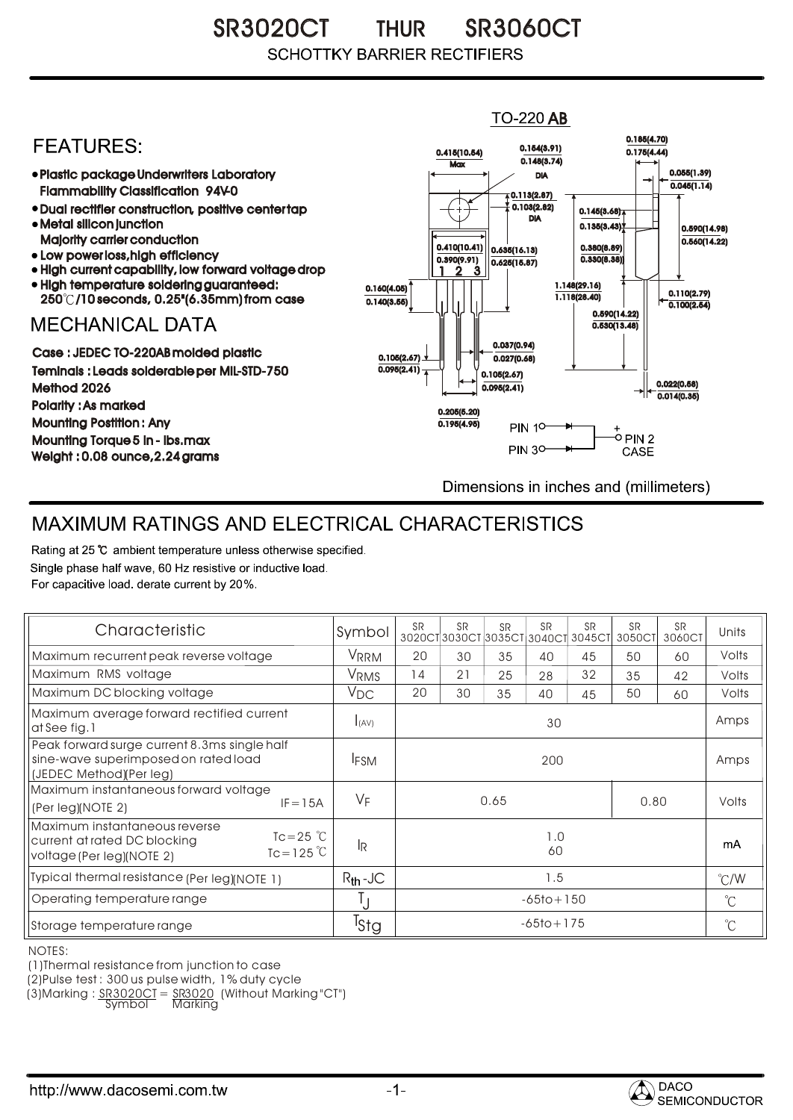SR3020CT THUR SR3060CT THUR **SCHOTTKY BARRIER RECTIFIERS** 

## $TO-220$  AB 0.185(4.70) **FEATURES:** 0.154(3.91) 0.415(10.54) 0.175(4.44)  $0.148(3.74)$ **Max** 0.055(1.39) Plastic package Underwriters Laboratory DIA  $0.045(1.14)$ Flammability Classification 94V-0  $(0.113(2.87))$ 0.103(2.82) Dual rectifier construction, positive center tap 0.145(3.68) DIA Metal silicon junction  $0.135(3.43)$ 0.590(14.98) Majority carrier conduction  $0.560(14.22)$ 0.410(10.41) 0.380(8.89) 0.635(16.13) • Low power loss, high efficiency 0.330(8.38)) 0.390(9.91)  $0.625(15.87)$ High current capability, low forward voltage drop 1 3 2High temperature soldering guaranteed: 1.148(29.16) 0.160(4.05) 0.110(2.79) 250 /10 seconds, 0.25"(6.35mm) from case 1.118(28.40) 0.140(3.55)  $\overline{0.100(2.54)}$ 0.590(14.22) **MECHANICAL DATA**  $0.530(13.48)$ 0.037(0.94) Case : JEDEC TO-220AB molded plastic 0.105(2.67)  $0.027(0.68)$ Teminals : Leads solderable per MIL-STD-750  $0.095(2.41)$ 0.105(2.67) 0.022(0.58) Method 2026  $0.095(2.41)$  $0.014(0.35)$ Polarity : As marked 0.205(5.20) Mounting Postition : Any 0.195(4.95) **PIN 10-**+<br>-0 PIN 2 Mounting Torque 5 in - lbs.max **PIN 30-**CASE Weight : 0.08 ounce,2.24 grams Dimensions in inches and (millimeters)

## MAXIMUM RATINGS AND ELECTRICAL CHARACTERISTICS

Rating at 25 °C ambient temperature unless otherwise specified. Single phase half wave, 60 Hz resistive or inductive load. For capacitive load, derate current by 20%.

| Characteristic                                                                                                                             | Symbol           | <b>SR</b>      | <b>SR</b> | <b>SR</b> | <b>SR</b> | <b>SR</b><br>3020CT3030CT3035CT3040CT3045CT | <b>SR</b><br>3050CT | <b>SR</b><br>3060CT | Units         |
|--------------------------------------------------------------------------------------------------------------------------------------------|------------------|----------------|-----------|-----------|-----------|---------------------------------------------|---------------------|---------------------|---------------|
| Maximum recurrent peak reverse voltage                                                                                                     | <b>VRRM</b>      | 20             | 30        | 35        | 40        | 45                                          | 50                  | 60                  | Volts         |
| Maximum RMS voltage                                                                                                                        | VRMS             | 14             | 21        | 25        | 28        | 32                                          | 35                  | 42                  | Volts         |
| Maximum DC blocking voltage                                                                                                                | $V_{DC}$         | 20             | 30        | 35        | 40        | 45                                          | 50                  | 60                  | Volts         |
| Maximum average forward rectified current<br>at See fig. 1                                                                                 | I(AV)            | 30             |           |           |           |                                             |                     |                     | Amps          |
| Peak forward surge current 8.3ms single half<br>sine-wave superimposed on rated load<br>(JEDEC Method)(Per leg)                            | <b>IFSM</b>      | 200            |           |           |           |                                             |                     |                     | Amps          |
| Maximum instantaneous forward voltage<br>$IF = 15A$<br>(Per leg)(NOTE 2)                                                                   | $V_F$            | 0.65<br>0.80   |           |           |           |                                             |                     | Volts               |               |
| Maximum instantaneous reverse<br>$Tc = 25$ $\degree$ C<br>current at rated DC blocking<br>$Tc = 125^{\circ}C$<br>voltage (Per leg)(NOTE 2) | <b>JR</b>        | 1.0<br>60      |           |           |           |                                             |                     |                     | mA            |
| Typical thermal resistance (Per leg)(NOTE 1)                                                                                               | $R_{th}$ -JC     | 1.5            |           |           |           |                                             |                     |                     | $\degree$ C/W |
| Operating temperature range                                                                                                                | IJ               | $-65$ to + 150 |           |           |           |                                             |                     |                     | $^{\circ}C$   |
| Storage temperature range                                                                                                                  | <sup>T</sup> Stg | $-65$ to + 175 |           |           |           |                                             |                     |                     | $^{\circ}$ C  |

NOTES:

(1)Thermal resistance from junction to case

(2)Pulse test : 300 us pulse width, 1% duty cycle

(3)Marking : <u>SR3020CT</u> = <u>SR3020</u> (Without Marking "CT") R

Symbol Marking